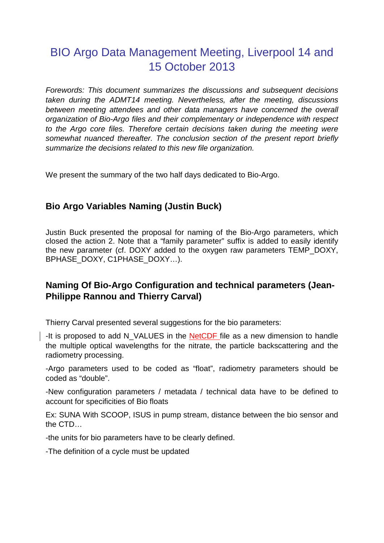# BIO Argo Data Management Meeting, Liverpool 14 and 15 October 2013

*Forewords: This document summarizes the discussions and subsequent decisions taken during the ADMT14 meeting. Nevertheless, after the meeting, discussions between meeting attendees and other data managers have concerned the overall organization of Bio-Argo files and their complementary or independence with respect to the Argo core files. Therefore certain decisions taken during the meeting were somewhat nuanced thereafter. The conclusion section of the present report briefly summarize the decisions related to this new file organization.* 

We present the summary of the two half days dedicated to Bio-Argo.

## **Bio Argo Variables Naming (Justin Buck)**

Justin Buck presented the proposal for naming of the Bio-Argo parameters, which closed the action 2. Note that a "family parameter" suffix is added to easily identify the new parameter (cf. DOXY added to the oxygen raw parameters TEMP\_DOXY, BPHASE\_DOXY, C1PHASE\_DOXY…).

## **Naming Of Bio-Argo Configuration and technical parameters (Jean-Philippe Rannou and Thierry Carval)**

Thierry Carval presented several suggestions for the bio parameters:

-It is proposed to add N\_VALUES in the NetCDF file as a new dimension to handle the multiple optical wavelengths for the nitrate, the particle backscattering and the radiometry processing.

-Argo parameters used to be coded as "float", radiometry parameters should be coded as "double".

-New configuration parameters / metadata / technical data have to be defined to account for specificities of Bio floats

Ex: SUNA With SCOOP, ISUS in pump stream, distance between the bio sensor and the CTD…

-the units for bio parameters have to be clearly defined.

-The definition of a cycle must be updated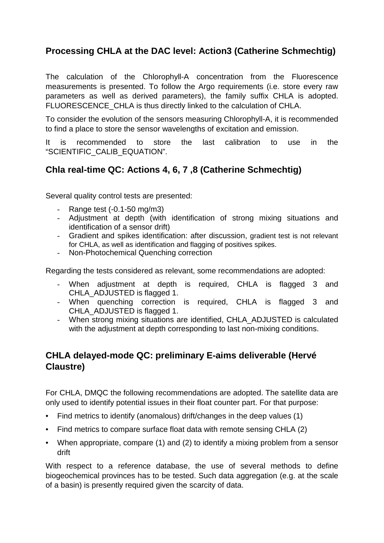## **Processing CHLA at the DAC level: Action3 (Catherine Schmechtig)**

The calculation of the Chlorophyll-A concentration from the Fluorescence measurements is presented. To follow the Argo requirements (i.e. store every raw parameters as well as derived parameters), the family suffix CHLA is adopted. FLUORESCENCE CHLA is thus directly linked to the calculation of CHLA.

To consider the evolution of the sensors measuring Chlorophyll-A, it is recommended to find a place to store the sensor wavelengths of excitation and emission.

It is recommended to store the last calibration to use in the "SCIENTIFIC\_CALIB\_EQUATION".

## **Chla real-time QC: Actions 4, 6, 7 ,8 (Catherine Schmechtig)**

Several quality control tests are presented:

- Range test (-0.1-50 mg/m3)
- Adiustment at depth (with identification of strong mixing situations and identification of a sensor drift)
- Gradient and spikes identification: after discussion, gradient test is not relevant for CHLA, as well as identification and flagging of positives spikes.
- Non-Photochemical Quenching correction

Regarding the tests considered as relevant, some recommendations are adopted:

- When adjustment at depth is required, CHLA is flagged 3 and CHLA\_ADJUSTED is flagged 1.
- When quenching correction is required, CHLA is flagged 3 and CHLA\_ADJUSTED is flagged 1.
- When strong mixing situations are identified, CHLA\_ADJUSTED is calculated with the adjustment at depth corresponding to last non-mixing conditions.

## **CHLA delayed-mode QC: preliminary E-aims deliverable (Hervé Claustre)**

For CHLA, DMQC the following recommendations are adopted. The satellite data are only used to identify potential issues in their float counter part. For that purpose:

- Find metrics to identify (anomalous) drift/changes in the deep values (1)
- Find metrics to compare surface float data with remote sensing CHLA (2)
- When appropriate, compare (1) and (2) to identify a mixing problem from a sensor drift

With respect to a reference database, the use of several methods to define biogeochemical provinces has to be tested. Such data aggregation (e.g. at the scale of a basin) is presently required given the scarcity of data.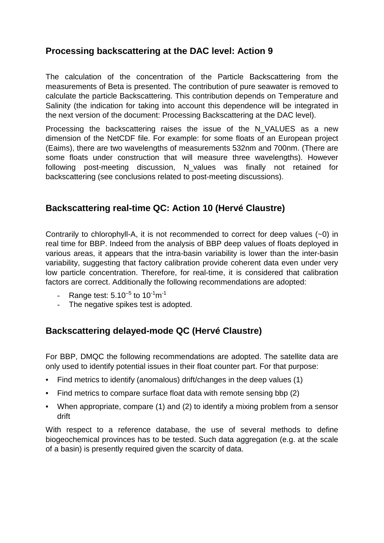## **Processing backscattering at the DAC level: Action 9**

The calculation of the concentration of the Particle Backscattering from the measurements of Beta is presented. The contribution of pure seawater is removed to calculate the particle Backscattering. This contribution depends on Temperature and Salinity (the indication for taking into account this dependence will be integrated in the next version of the document: Processing Backscattering at the DAC level).

Processing the backscattering raises the issue of the N\_VALUES as a new dimension of the NetCDF file. For example: for some floats of an European project (Eaims), there are two wavelengths of measurements 532nm and 700nm. (There are some floats under construction that will measure three wavelengths). However following post-meeting discussion, N\_values was finally not retained for backscattering (see conclusions related to post-meeting discussions).

#### **Backscattering real-time QC: Action 10 (Hervé Claustre)**

Contrarily to chlorophyll-A, it is not recommended to correct for deep values (~0) in real time for BBP. Indeed from the analysis of BBP deep values of floats deployed in various areas, it appears that the intra-basin variability is lower than the inter-basin variability, suggesting that factory calibration provide coherent data even under very low particle concentration. Therefore, for real-time, it is considered that calibration factors are correct. Additionally the following recommendations are adopted:

- Range test: 5.10<sup>-5</sup> to 10<sup>-1</sup>m<sup>-1</sup>
- The negative spikes test is adopted.

## **Backscattering delayed-mode QC (Hervé Claustre)**

For BBP, DMQC the following recommendations are adopted. The satellite data are only used to identify potential issues in their float counter part. For that purpose:

- Find metrics to identify (anomalous) drift/changes in the deep values (1)
- Find metrics to compare surface float data with remote sensing bbp (2)
- When appropriate, compare (1) and (2) to identify a mixing problem from a sensor drift

With respect to a reference database, the use of several methods to define biogeochemical provinces has to be tested. Such data aggregation (e.g. at the scale of a basin) is presently required given the scarcity of data.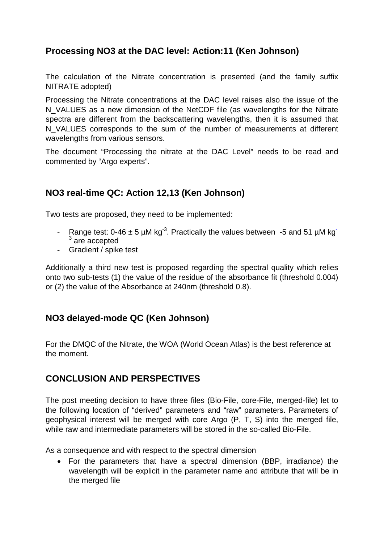## **Processing NO3 at the DAC level: Action:11 (Ken Johnson)**

The calculation of the Nitrate concentration is presented (and the family suffix NITRATE adopted)

Processing the Nitrate concentrations at the DAC level raises also the issue of the N VALUES as a new dimension of the NetCDF file (as wavelengths for the Nitrate spectra are different from the backscattering wavelengths, then it is assumed that N\_VALUES corresponds to the sum of the number of measurements at different wavelengths from various sensors.

The document "Processing the nitrate at the DAC Level" needs to be read and commented by "Argo experts".

#### **NO3 real-time QC: Action 12,13 (Ken Johnson)**

Two tests are proposed, they need to be implemented:

- Range test: 0-46  $\pm$  5 µM kg<sup>-3</sup>. Practically the values between -5 and 51 µM kg<sup>-</sup>  $3$  are accepted
- Gradient / spike test

Additionally a third new test is proposed regarding the spectral quality which relies onto two sub-tests (1) the value of the residue of the absorbance fit (threshold 0.004) or (2) the value of the Absorbance at 240nm (threshold 0.8).

#### **NO3 delayed-mode QC (Ken Johnson)**

For the DMQC of the Nitrate, the WOA (World Ocean Atlas) is the best reference at the moment.

#### **CONCLUSION AND PERSPECTIVES**

The post meeting decision to have three files (Bio-File, core-File, merged-file) let to the following location of "derived" parameters and "raw" parameters. Parameters of geophysical interest will be merged with core Argo (P, T, S) into the merged file, while raw and intermediate parameters will be stored in the so-called Bio-File.

As a consequence and with respect to the spectral dimension

• For the parameters that have a spectral dimension (BBP, irradiance) the wavelength will be explicit in the parameter name and attribute that will be in the merged file